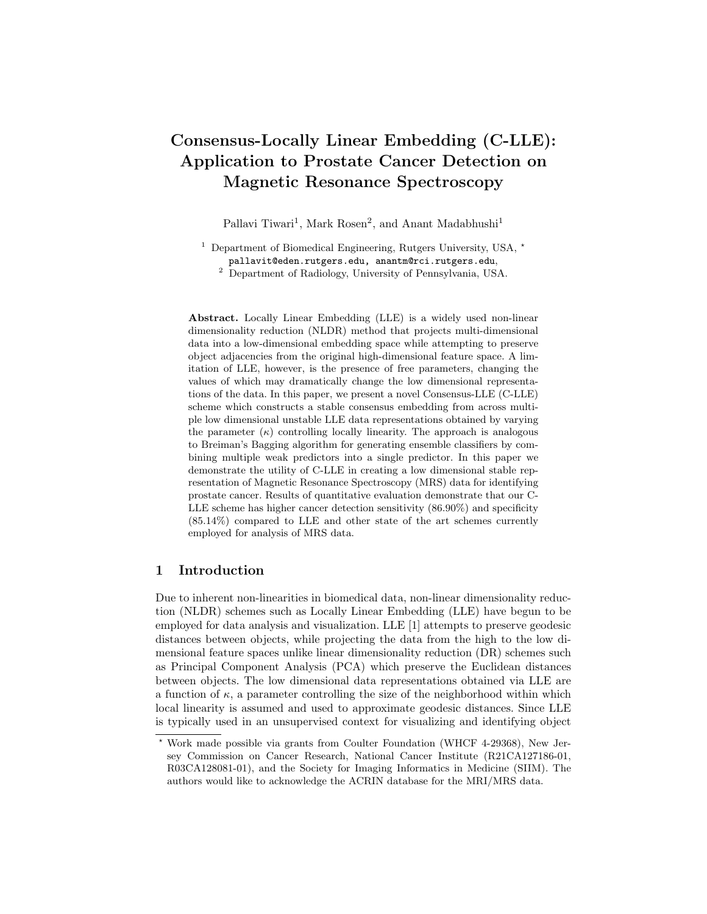# Consensus-Locally Linear Embedding (C-LLE): Application to Prostate Cancer Detection on Magnetic Resonance Spectroscopy

Pallavi Tiwari<sup>1</sup>, Mark Rosen<sup>2</sup>, and Anant Madabhushi<sup>1</sup>

<sup>1</sup> Department of Biomedical Engineering, Rutgers University, USA,  $*$ pallavit@eden.rutgers.edu, anantm@rci.rutgers.edu,

<sup>2</sup> Department of Radiology, University of Pennsylvania, USA.

Abstract. Locally Linear Embedding (LLE) is a widely used non-linear dimensionality reduction (NLDR) method that projects multi-dimensional data into a low-dimensional embedding space while attempting to preserve object adjacencies from the original high-dimensional feature space. A limitation of LLE, however, is the presence of free parameters, changing the values of which may dramatically change the low dimensional representations of the data. In this paper, we present a novel Consensus-LLE (C-LLE) scheme which constructs a stable consensus embedding from across multiple low dimensional unstable LLE data representations obtained by varying the parameter  $(\kappa)$  controlling locally linearity. The approach is analogous to Breiman's Bagging algorithm for generating ensemble classifiers by combining multiple weak predictors into a single predictor. In this paper we demonstrate the utility of C-LLE in creating a low dimensional stable representation of Magnetic Resonance Spectroscopy (MRS) data for identifying prostate cancer. Results of quantitative evaluation demonstrate that our C-LLE scheme has higher cancer detection sensitivity (86.90%) and specificity (85.14%) compared to LLE and other state of the art schemes currently employed for analysis of MRS data.

## 1 Introduction

Due to inherent non-linearities in biomedical data, non-linear dimensionality reduction (NLDR) schemes such as Locally Linear Embedding (LLE) have begun to be employed for data analysis and visualization. LLE [1] attempts to preserve geodesic distances between objects, while projecting the data from the high to the low dimensional feature spaces unlike linear dimensionality reduction (DR) schemes such as Principal Component Analysis (PCA) which preserve the Euclidean distances between objects. The low dimensional data representations obtained via LLE are a function of  $\kappa$ , a parameter controlling the size of the neighborhood within which local linearity is assumed and used to approximate geodesic distances. Since LLE is typically used in an unsupervised context for visualizing and identifying object

<sup>⋆</sup> Work made possible via grants from Coulter Foundation (WHCF 4-29368), New Jersey Commission on Cancer Research, National Cancer Institute (R21CA127186-01, R03CA128081-01), and the Society for Imaging Informatics in Medicine (SIIM). The authors would like to acknowledge the ACRIN database for the MRI/MRS data.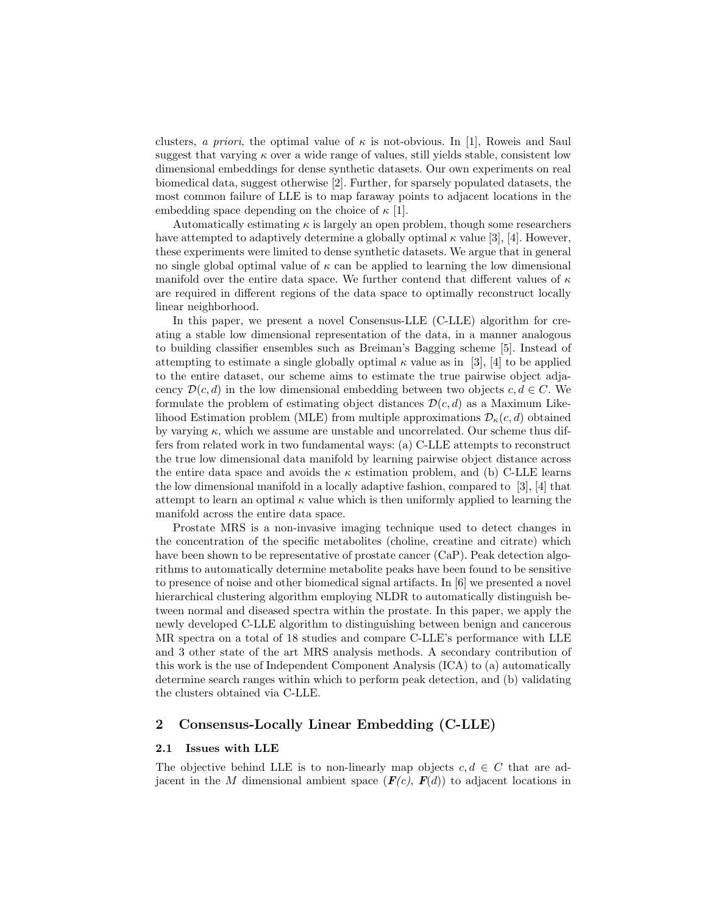clusters, a priori, the optimal value of  $\kappa$  is not-obvious. In [1], Roweis and Saul suggest that varying  $\kappa$  over a wide range of values, still yields stable, consistent low dimensional embeddings for dense synthetic datasets. Our own experiments on real biomedical data, suggest otherwise [2]. Further, for sparsely populated datasets, the most common failure of LLE is to map faraway points to adjacent locations in the embedding space depending on the choice of  $\kappa$  [1].

Automatically estimating  $\kappa$  is largely an open problem, though some researchers have attempted to adaptively determine a globally optimal  $\kappa$  value [3], [4]. However, these experiments were limited to dense synthetic datasets. We argue that in general no single global optimal value of  $\kappa$  can be applied to learning the low dimensional manifold over the entire data space. We further contend that different values of  $\kappa$ are required in different regions of the data space to optimally reconstruct locally linear neighborhood.

In this paper, we present a novel Consensus-LLE (C-LLE) algorithm for creating a stable low dimensional representation of the data, in a manner analogous to building classifier ensembles such as Breiman's Bagging scheme [5]. Instead of attempting to estimate a single globally optimal  $\kappa$  value as in [3], [4] to be applied to the entire dataset, our scheme aims to estimate the true pairwise object adjacency  $\mathcal{D}(c,d)$  in the low dimensional embedding between two objects  $c,d \in C$ . We formulate the problem of estimating object distances  $\mathcal{D}(c,d)$  as a Maximum Likelihood Estimation problem (MLE) from multiple approximations  $\mathcal{D}_{\kappa}(c,d)$  obtained by varying  $\kappa$ , which we assume are unstable and uncorrelated. Our scheme thus differs from related work in two fundamental ways: (a) C-LLE attempts to reconstruct the true low dimensional data manifold by learning pairwise object distance across the entire data space and avoids the  $\kappa$  estimation problem, and (b) C-LLE learns the low dimensional manifold in a locally adaptive fashion, compared to [3], [4] that attempt to learn an optimal  $\kappa$  value which is then uniformly applied to learning the manifold across the entire data space.

Prostate MRS is a non-invasive imaging technique used to detect changes in the concentration of the specific metabolites (choline, creatine and citrate) which have been shown to be representative of prostate cancer (CaP). Peak detection algorithms to automatically determine metabolite peaks have been found to be sensitive to presence of noise and other biomedical signal artifacts. In [6] we presented a novel hierarchical clustering algorithm employing NLDR to automatically distinguish between normal and diseased spectra within the prostate. In this paper, we apply the newly developed C-LLE algorithm to distinguishing between benign and cancerous MR spectra on a total of 18 studies and compare C-LLE's performance with LLE and 3 other state of the art MRS analysis methods. A secondary contribution of this work is the use of Independent Component Analysis (ICA) to (a) automatically determine search ranges within which to perform peak detection, and (b) validating the clusters obtained via C-LLE.

# 2 Consensus-Locally Linear Embedding (C-LLE)

#### 2.1 Issues with LLE

The objective behind LLE is to non-linearly map objects  $c, d \in C$  that are adjacent in the M dimensional ambient space  $(F(c), F(d))$  to adjacent locations in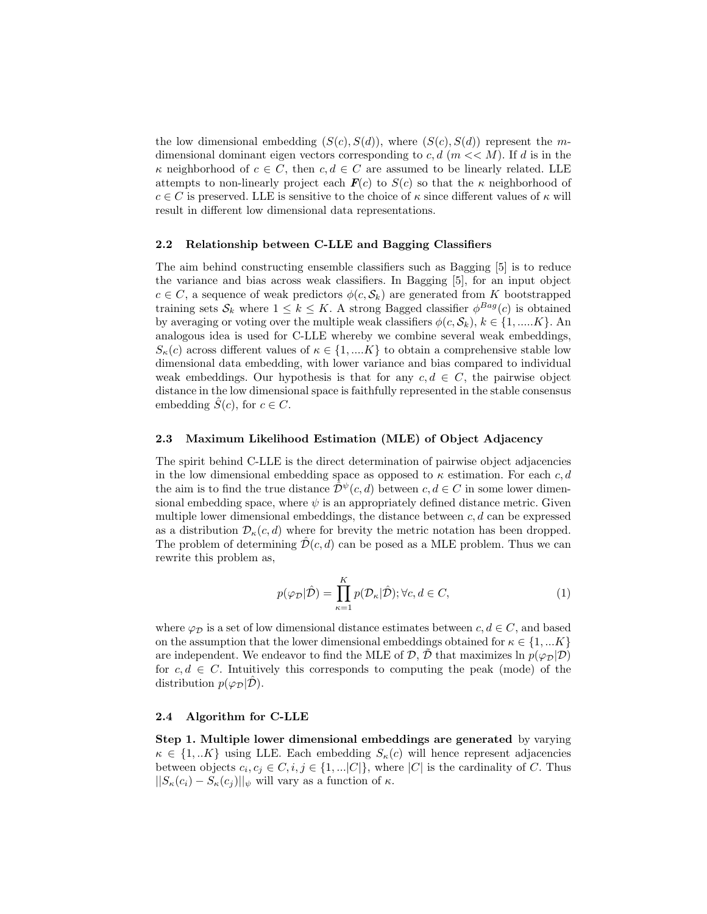the low dimensional embedding  $(S(c),S(d))$ , where  $(S(c),S(d))$  represent the mdimensional dominant eigen vectors corresponding to  $c, d \ (m << M)$ . If d is in the  $\kappa$  neighborhood of  $c \in C$ , then  $c, d \in C$  are assumed to be linearly related. LLE attempts to non-linearly project each  $F(c)$  to  $S(c)$  so that the  $\kappa$  neighborhood of  $c \in C$  is preserved. LLE is sensitive to the choice of  $\kappa$  since different values of  $\kappa$  will result in different low dimensional data representations.

#### 2.2 Relationship between C-LLE and Bagging Classifiers

The aim behind constructing ensemble classifiers such as Bagging [5] is to reduce the variance and bias across weak classifiers. In Bagging [5], for an input object  $c \in C$ , a sequence of weak predictors  $\phi(c, \mathcal{S}_k)$  are generated from K bootstrapped training sets  $S_k$  where  $1 \leq k \leq K$ . A strong Bagged classifier  $\phi^{Bag}(c)$  is obtained by averaging or voting over the multiple weak classifiers  $\phi(c, \mathcal{S}_k)$ ,  $k \in \{1, \dots, K\}$ . An analogous idea is used for C-LLE whereby we combine several weak embeddings,  $S_{\kappa}(c)$  across different values of  $\kappa \in \{1,...K\}$  to obtain a comprehensive stable low dimensional data embedding, with lower variance and bias compared to individual weak embeddings. Our hypothesis is that for any  $c, d \in C$ , the pairwise object distance in the low dimensional space is faithfully represented in the stable consensus embedding  $\hat{S}(c)$ , for  $c \in C$ .

## 2.3 Maximum Likelihood Estimation (MLE) of Object Adjacency

The spirit behind C-LLE is the direct determination of pairwise object adjacencies in the low dimensional embedding space as opposed to  $\kappa$  estimation. For each c, d the aim is to find the true distance  $\hat{\mathcal{D}}^{\psi}(c,d)$  between  $c,d \in C$  in some lower dimensional embedding space, where  $\psi$  is an appropriately defined distance metric. Given multiple lower dimensional embeddings, the distance between  $c, d$  can be expressed as a distribution  $\mathcal{D}_{\kappa}(c,d)$  where for brevity the metric notation has been dropped. The problem of determining  $\mathcal{D}(c,d)$  can be posed as a MLE problem. Thus we can rewrite this problem as,

$$
p(\varphi_{\mathcal{D}}|\hat{\mathcal{D}}) = \prod_{\kappa=1}^{K} p(\mathcal{D}_{\kappa}|\hat{\mathcal{D}}); \forall c, d \in C,
$$
\n(1)

where  $\varphi_{\mathcal{D}}$  is a set of low dimensional distance estimates between  $c, d \in C$ , and based on the assumption that the lower dimensional embeddings obtained for  $\kappa \in \{1,...K\}$ are independent. We endeavor to find the MLE of  $\mathcal{D}, \mathcal{D}$  that maximizes ln  $p(\varphi_D|\mathcal{D})$ for  $c, d \in C$ . Intuitively this corresponds to computing the peak (mode) of the distribution  $p(\varphi_{\mathcal{D}}|\mathcal{D})$ .

#### 2.4 Algorithm for C-LLE

Step 1. Multiple lower dimensional embeddings are generated by varying  $\kappa \in \{1,..K\}$  using LLE. Each embedding  $S_{\kappa}(c)$  will hence represent adjacencies between objects  $c_i, c_j \in C, i, j \in \{1, \ldots |C|\}$ , where  $|C|$  is the cardinality of C. Thus  $||S_{\kappa}(c_i) - S_{\kappa}(c_j)||_{\psi}$  will vary as a function of  $\kappa$ .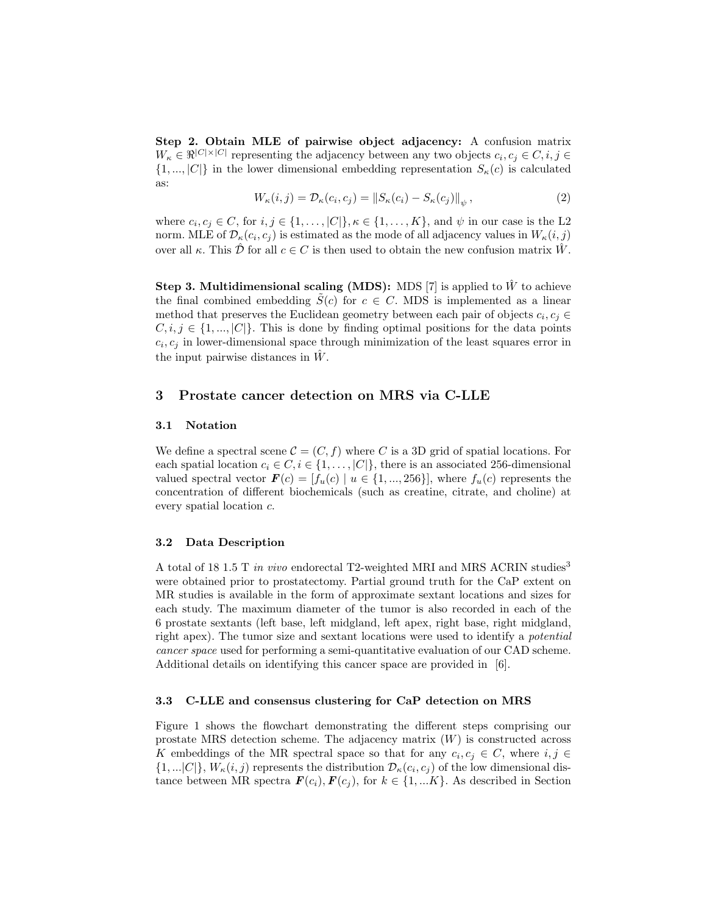Step 2. Obtain MLE of pairwise object adjacency: A confusion matrix  $W_{\kappa} \in \Re^{|C| \times |C|}$  representing the adjacency between any two objects  $c_i, c_j \in C, i, j \in$  $\{1,...,|C|\}$  in the lower dimensional embedding representation  $S_{\kappa}(c)$  is calculated as:

$$
W_{\kappa}(i,j) = \mathcal{D}_{\kappa}(c_i,c_j) = \|S_{\kappa}(c_i) - S_{\kappa}(c_j)\|_{\psi},\tag{2}
$$

where  $c_i, c_j \in C$ , for  $i, j \in \{1, \ldots, |C|\}, \kappa \in \{1, \ldots, K\}$ , and  $\psi$  in our case is the L2 norm. MLE of  $\mathcal{D}_{\kappa}(c_i, c_j)$  is estimated as the mode of all adjacency values in  $W_{\kappa}(i,j)$ over all  $\kappa$ . This  $\hat{\mathcal{D}}$  for all  $c \in C$  is then used to obtain the new confusion matrix  $\hat{W}$ .

**Step 3. Multidimensional scaling (MDS):** MDS [7] is applied to  $\hat{W}$  to achieve the final combined embedding  $\tilde{S}(c)$  for  $c \in C$ . MDS is implemented as a linear method that preserves the Euclidean geometry between each pair of objects  $c_i, c_j \in$  $C,i,j \in \{1,...,|C|\}$ . This is done by finding optimal positions for the data points  $c_i, c_j$  in lower-dimensional space through minimization of the least squares error in the input pairwise distances in  $\hat{W}$ .

# 3 Prostate cancer detection on MRS via C-LLE

# 3.1 Notation

We define a spectral scene  $C = (C, f)$  where C is a 3D grid of spatial locations. For each spatial location  $c_i \in C, i \in \{1, \ldots, |C|\}$ , there is an associated 256-dimensional valued spectral vector  $\mathbf{F}(c) = [f_u(c) \mid u \in \{1, ..., 256\}],$  where  $f_u(c)$  represents the concentration of different biochemicals (such as creatine, citrate, and choline) at every spatial location c.

## 3.2 Data Description

A total of 18 1.5 T in vivo endorectal T2-weighted MRI and MRS ACRIN studies<sup>3</sup> were obtained prior to prostatectomy. Partial ground truth for the CaP extent on MR studies is available in the form of approximate sextant locations and sizes for each study. The maximum diameter of the tumor is also recorded in each of the 6 prostate sextants (left base, left midgland, left apex, right base, right midgland, right apex). The tumor size and sextant locations were used to identify a potential cancer space used for performing a semi-quantitative evaluation of our CAD scheme. Additional details on identifying this cancer space are provided in [6].

#### 3.3 C-LLE and consensus clustering for CaP detection on MRS

Figure 1 shows the flowchart demonstrating the different steps comprising our prostate MRS detection scheme. The adjacency matrix  $(W)$  is constructed across K embeddings of the MR spectral space so that for any  $c_i, c_j \in C$ , where  $i, j \in$  $\{1,...|C|\}, W_{\kappa}(i,j)$  represents the distribution  $\mathcal{D}_{\kappa}(c_i,c_j)$  of the low dimensional distance between MR spectra  $\mathbf{F}(c_i), \mathbf{F}(c_j)$ , for  $k \in \{1, ... K\}$ . As described in Section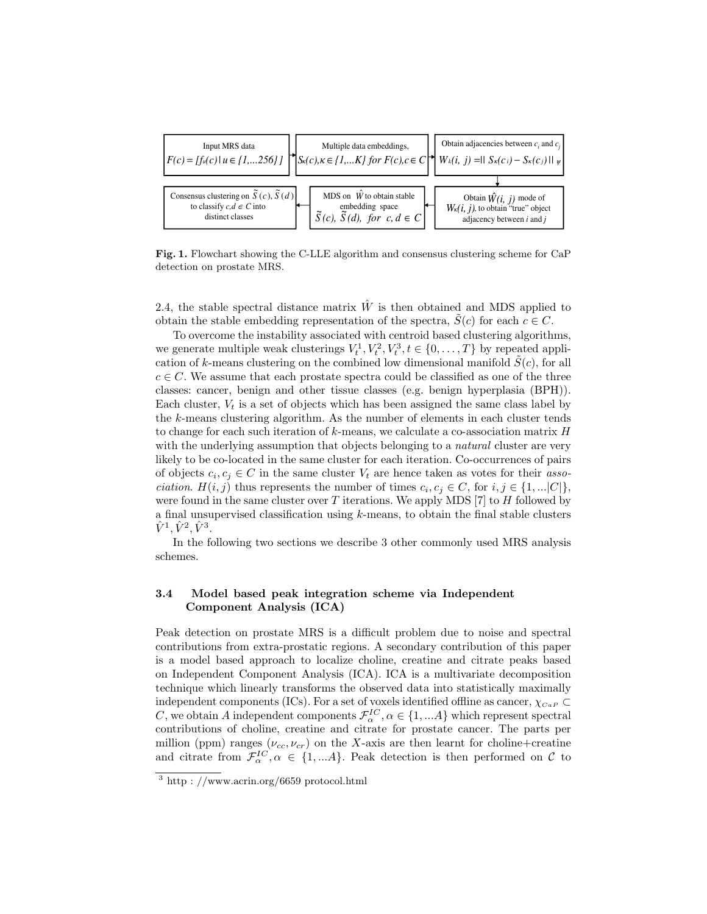

Fig. 1. Flowchart showing the C-LLE algorithm and consensus clustering scheme for CaP detection on prostate MRS.

2.4, the stable spectral distance matrix  $\hat{W}$  is then obtained and MDS applied to obtain the stable embedding representation of the spectra,  $S(c)$  for each  $c \in C$ .

To overcome the instability associated with centroid based clustering algorithms, we generate multiple weak clusterings  $V_t^1, V_t^2, V_t^3, t \in \{0, ..., T\}$  by repeated application of k-means clustering on the combined low dimensional manifold  $\hat{S}(c)$ , for all  $c \in C$ . We assume that each prostate spectra could be classified as one of the three classes: cancer, benign and other tissue classes (e.g. benign hyperplasia (BPH)). Each cluster,  $V_t$  is a set of objects which has been assigned the same class label by the k-means clustering algorithm. As the number of elements in each cluster tends to change for each such iteration of  $k$ -means, we calculate a co-association matrix  $H$ with the underlying assumption that objects belonging to a *natural* cluster are very likely to be co-located in the same cluster for each iteration. Co-occurrences of pairs of objects  $c_i, c_j \in C$  in the same cluster  $V_t$  are hence taken as votes for their *association.*  $H(i, j)$  thus represents the number of times  $c_i, c_j \in C$ , for  $i, j \in \{1, ... |C|\}$ , were found in the same cluster over  $T$  iterations. We apply MDS [7] to  $H$  followed by a final unsupervised classification using k-means, to obtain the final stable clusters  $\hat{V}^{1}, \hat{V}^{2}, \hat{V}^{3}.$ 

In the following two sections we describe 3 other commonly used MRS analysis schemes.

## 3.4 Model based peak integration scheme via Independent Component Analysis (ICA)

Peak detection on prostate MRS is a difficult problem due to noise and spectral contributions from extra-prostatic regions. A secondary contribution of this paper is a model based approach to localize choline, creatine and citrate peaks based on Independent Component Analysis (ICA). ICA is a multivariate decomposition technique which linearly transforms the observed data into statistically maximally independent components (ICs). For a set of voxels identified offline as cancer,  $\chi_{CaP} \subset$ C, we obtain A independent components  $\mathcal{F}_{\alpha}^{IC}$ ,  $\alpha \in \{1, ... A\}$  which represent spectral contributions of choline, creatine and citrate for prostate cancer. The parts per million (ppm) ranges ( $\nu_{cc}, \nu_{cr}$ ) on the X-axis are then learnt for choline+creatine and citrate from  $\mathcal{F}_{\alpha}^{IC}$ ,  $\alpha \in \{1,...A\}$ . Peak detection is then performed on C to

 $3$  http : //www.acrin.org/6659 protocol.html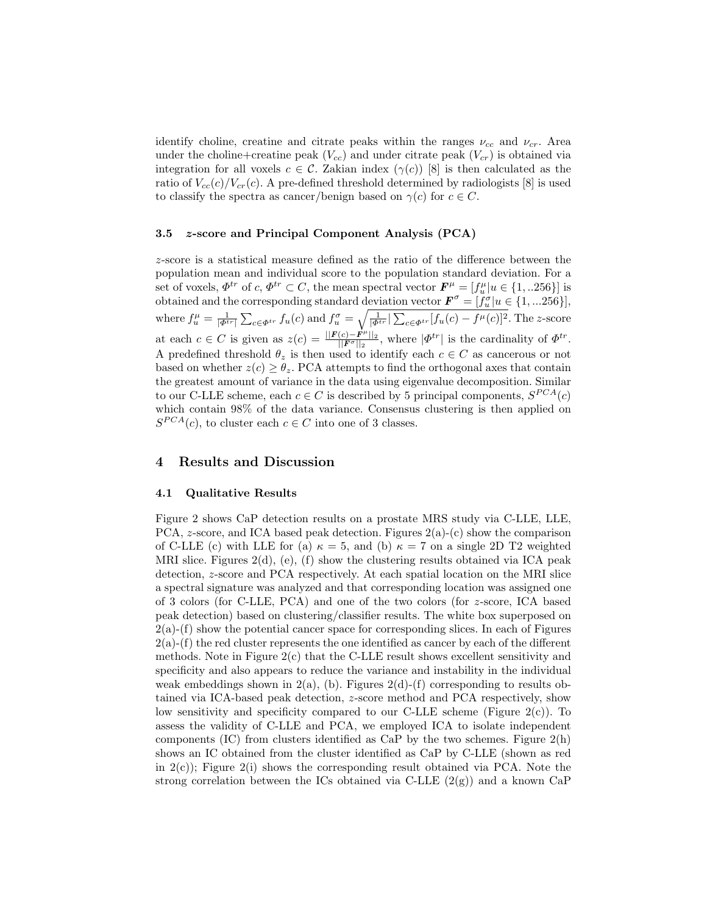identify choline, creatine and citrate peaks within the ranges  $\nu_{cc}$  and  $\nu_{cr}$ . Area under the choline+creatine peak  $(V_{cc})$  and under citrate peak  $(V_{cr})$  is obtained via integration for all voxels  $c \in \mathcal{C}$ . Zakian index  $(\gamma(c))$  [8] is then calculated as the ratio of  $V_{cc}(c)/V_{cr}(c)$ . A pre-defined threshold determined by radiologists [8] is used to classify the spectra as cancer/benign based on  $\gamma(c)$  for  $c \in C$ .

## 3.5 z-score and Principal Component Analysis (PCA)

z-score is a statistical measure defined as the ratio of the difference between the population mean and individual score to the population standard deviation. For a set of voxels,  $\Phi^{tr}$  of c,  $\Phi^{tr} \subset C$ , the mean spectral vector  $\mathbf{F}^{\mu} = [f^{\mu}_{u} | u \in \{1, ... 256\}]$  is obtained and the corresponding standard deviation vector  $\mathbf{F}^{\sigma} = [\tilde{f}^{\sigma}_u | u \in \{1, ... 256\}],$ where  $f_u^{\mu} = \frac{1}{|\Phi^{tr}|} \sum_{c \in \Phi^{tr}} f_u(c)$  and  $f_u^{\sigma} = \sqrt{\frac{1}{|\Phi^{tr}|} \sum_{c \in \Phi^{tr}} [f_u(c) - f^{\mu}(c)]^2}$ . The z-score at each  $c \in C$  is given as  $z(c) = \frac{||F(c) - F^{\mu}||_2}{||F^{\sigma}||_2}$  $\frac{(c)-F^{\mu}||_2}{||F^{\sigma}||_2}$ , where  $|\Phi^{tr}|$  is the cardinality of  $\Phi^{tr}$ . A predefined threshold  $\theta_z$  is then used to identify each  $c \in C$  as cancerous or not based on whether  $z(c) \geq \theta_z$ . PCA attempts to find the orthogonal axes that contain the greatest amount of variance in the data using eigenvalue decomposition. Similar to our C-LLE scheme, each  $c \in C$  is described by 5 principal components,  $S^{PCA}(c)$ which contain 98% of the data variance. Consensus clustering is then applied on  $S^{PCA}(c)$ , to cluster each  $c \in C$  into one of 3 classes.

## 4 Results and Discussion

#### 4.1 Qualitative Results

Figure 2 shows CaP detection results on a prostate MRS study via C-LLE, LLE, PCA, z-score, and ICA based peak detection. Figures  $2(a)-(c)$  show the comparison of C-LLE (c) with LLE for (a)  $\kappa = 5$ , and (b)  $\kappa = 7$  on a single 2D T2 weighted MRI slice. Figures  $2(d)$ , (e), (f) show the clustering results obtained via ICA peak detection, z-score and PCA respectively. At each spatial location on the MRI slice a spectral signature was analyzed and that corresponding location was assigned one of 3 colors (for C-LLE, PCA) and one of the two colors (for z-score, ICA based peak detection) based on clustering/classifier results. The white box superposed on  $2(a)$ - $(f)$  show the potential cancer space for corresponding slices. In each of Figures  $2(a)$ -(f) the red cluster represents the one identified as cancer by each of the different methods. Note in Figure 2(c) that the C-LLE result shows excellent sensitivity and specificity and also appears to reduce the variance and instability in the individual weak embeddings shown in  $2(a)$ , (b). Figures  $2(d)$ -(f) corresponding to results obtained via ICA-based peak detection, z-score method and PCA respectively, show low sensitivity and specificity compared to our C-LLE scheme (Figure  $2(c)$ ). To assess the validity of C-LLE and PCA, we employed ICA to isolate independent components (IC) from clusters identified as  $CaP$  by the two schemes. Figure  $2(h)$ shows an IC obtained from the cluster identified as CaP by C-LLE (shown as red in  $2(c)$ ; Figure  $2(i)$  shows the corresponding result obtained via PCA. Note the strong correlation between the ICs obtained via C-LLE  $(2(g))$  and a known CaP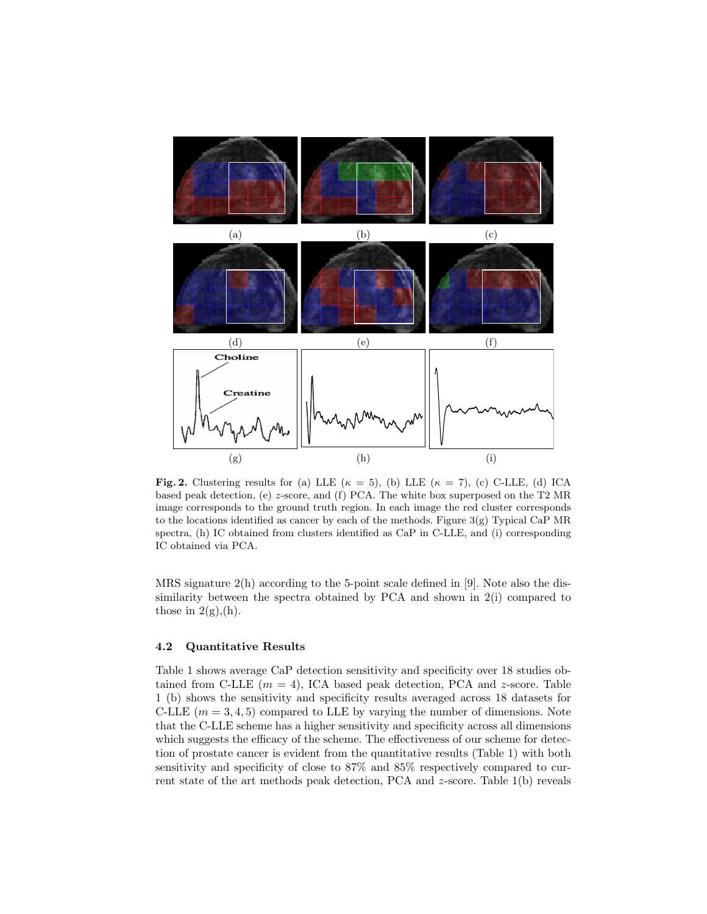

Fig. 2. Clustering results for (a) LLE ( $\kappa = 5$ ), (b) LLE ( $\kappa = 7$ ), (c) C-LLE, (d) ICA based peak detection, (e) z-score, and (f) PCA. The white box superposed on the T2 MR image corresponds to the ground truth region. In each image the red cluster corresponds to the locations identified as cancer by each of the methods. Figure  $3(g)$  Typical CaP MR spectra, (h) IC obtained from clusters identified as CaP in C-LLE, and (i) corresponding IC obtained via PCA.

MRS signature 2(h) according to the 5-point scale defined in [9]. Note also the dissimilarity between the spectra obtained by PCA and shown in 2(i) compared to those in  $2(g)$ , (h).

## 4.2 Quantitative Results

Table 1 shows average CaP detection sensitivity and specificity over 18 studies obtained from C-LLE  $(m = 4)$ , ICA based peak detection, PCA and z-score. Table 1 (b) shows the sensitivity and specificity results averaged across 18 datasets for C-LLE  $(m = 3, 4, 5)$  compared to LLE by varying the number of dimensions. Note that the C-LLE scheme has a higher sensitivity and specificity across all dimensions which suggests the efficacy of the scheme. The effectiveness of our scheme for detection of prostate cancer is evident from the quantitative results (Table 1) with both sensitivity and specificity of close to 87% and 85% respectively compared to current state of the art methods peak detection, PCA and z-score. Table 1(b) reveals